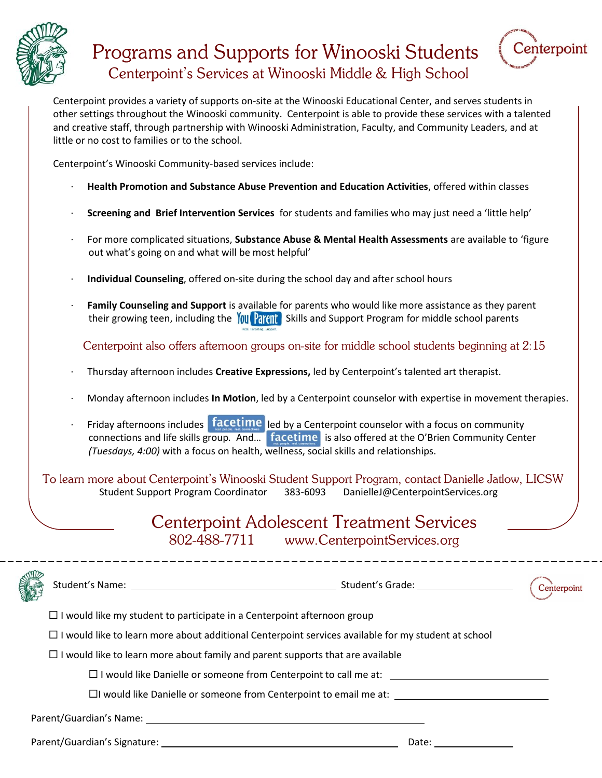

## Programs and Supports for Winooski Students Centerpoint's Services at Winooski Middle & High School



Centerpoint provides a variety of supports on-site at the Winooski Educational Center, and serves students in other settings throughout the Winooski community. Centerpoint is able to provide these services with a talented and creative staff, through partnership with Winooski Administration, Faculty, and Community Leaders, and at little or no cost to families or to the school.

Centerpoint's Winooski Community-based services include:

- · **Health Promotion and Substance Abuse Prevention and Education Activities**, offered within classes
- · **Screening and Brief Intervention Services** for students and families who may just need a 'little help'
- · For more complicated situations, **Substance Abuse & Mental Health Assessments** are available to 'figure out what's going on and what will be most helpful'
- · **Individual Counseling**, offered on-site during the school day and after school hours
- · **Family Counseling and Support** is available for parents who would like more assistance as they parent their growing teen, including the  $\frac{1}{2}$   $\frac{1}{2}$  skills and Support Program for middle school parents
	- Centerpoint also offers afternoon groups on-site for middle school students beginning at 2:15
- · Thursday afternoon includes **Creative Expressions,** led by Centerpoint's talented art therapist.
- · Monday afternoon includes **In Motion**, led by a Centerpoint counselor with expertise in movement therapies.
- Friday afternoons includes  $\frac{facetime}{\text{led by a Centerpoint}}$  counselor with a focus on community connections and life skills group. And... **facetime** is also offered at the O'Brien Community Center *(Tuesdays, 4:00)* with a focus on health, wellness, social skills and relationships.

To learn more about Centerpoint's Winooski Student Support Program, contact Danielle Jatlow, LICSW Student Support Program Coordinator 383-6093 DanielleJ@CenterpointServices.org

## **Centerpoint Adolescent Treatment Services** www.CenterpointServices.org 802-488-7711

Student's Name: Student's Grade:

Centerpoint

 $\Box$  I would like my student to participate in a Centerpoint afternoon group

 $\Box$  I would like to learn more about additional Centerpoint services available for my student at school

 $\Box$  I would like to learn more about family and parent supports that are available

 $\square$  I would like Danielle or someone from Centerpoint to call me at:  $\square$ 

 $\Box$ I would like Danielle or someone from Centerpoint to email me at:

Parent/Guardian's Name:

Parent/Guardian's Signature: Date: Date: Date: Date: Date: Date: Date: Date: Date: Date: Date: Date: Date: Date: Date: Date: Date: Date: Date: Date: Date: Date: Date: Date: Date: Date: Date: Date: Date: Date: Date: Date: D